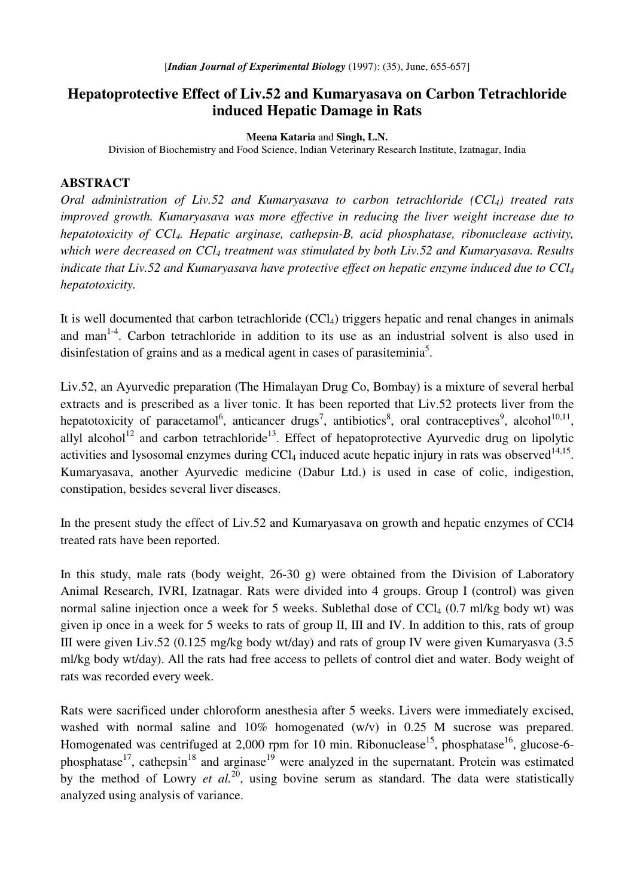## **Hepatoprotective Effect of Liv.52 and Kumaryasava on Carbon Tetrachloride induced Hepatic Damage in Rats**

**Meena Kataria** and **Singh, L.N.**

Division of Biochemistry and Food Science, Indian Veterinary Research Institute, Izatnagar, India

## **ABSTRACT**

*Oral administration of Liv.52 and Kumaryasava to carbon tetrachloride (CCl4) treated rats improved growth. Kumaryasava was more effective in reducing the liver weight increase due to hepatotoxicity of CCl4. Hepatic arginase, cathepsin-B, acid phosphatase, ribonuclease activity, which were decreased on CCl<sup>4</sup> treatment was stimulated by both Liv.52 and Kumaryasava. Results indicate that Liv.52 and Kumaryasava have protective effect on hepatic enzyme induced due to CCl<sup>4</sup> hepatotoxicity.*

It is well documented that carbon tetrachloride  $(CCl<sub>4</sub>)$  triggers hepatic and renal changes in animals and man<sup>1-4</sup>. Carbon tetrachloride in addition to its use as an industrial solvent is also used in disinfestation of grains and as a medical agent in cases of parasiteminia<sup>5</sup>.

Liv.52, an Ayurvedic preparation (The Himalayan Drug Co, Bombay) is a mixture of several herbal extracts and is prescribed as a liver tonic. It has been reported that Liv.52 protects liver from the hepatotoxicity of paracetamol<sup>6</sup>, anticancer drugs<sup>7</sup>, antibiotics<sup>8</sup>, oral contraceptives<sup>9</sup>, alcohol<sup>10,11</sup>, allyl alcohol<sup>12</sup> and carbon tetrachloride<sup>13</sup>. Effect of hepatoprotective Ayurvedic drug on lipolytic activities and lysosomal enzymes during  $CCl_4$  induced acute hepatic injury in rats was observed  $14,15$ . Kumaryasava, another Ayurvedic medicine (Dabur Ltd.) is used in case of colic, indigestion, constipation, besides several liver diseases.

In the present study the effect of Liv.52 and Kumaryasava on growth and hepatic enzymes of CCl4 treated rats have been reported.

In this study, male rats (body weight, 26-30 g) were obtained from the Division of Laboratory Animal Research, IVRI, Izatnagar. Rats were divided into 4 groups. Group I (control) was given normal saline injection once a week for 5 weeks. Sublethal dose of  $CCl<sub>4</sub>$  (0.7 ml/kg body wt) was given ip once in a week for 5 weeks to rats of group II, III and IV. In addition to this, rats of group III were given Liv.52 (0.125 mg/kg body wt/day) and rats of group IV were given Kumaryasva (3.5 ml/kg body wt/day). All the rats had free access to pellets of control diet and water. Body weight of rats was recorded every week.

Rats were sacrificed under chloroform anesthesia after 5 weeks. Livers were immediately excised, washed with normal saline and 10% homogenated (w/v) in 0.25 M sucrose was prepared. Homogenated was centrifuged at 2,000 rpm for 10 min. Ribonuclease<sup>15</sup>, phosphatase<sup>16</sup>, glucose-6phosphatase<sup>17</sup>, cathepsin<sup>18</sup> and arginase<sup>19</sup> were analyzed in the supernatant. Protein was estimated by the method of Lowry *et al.* 20 , using bovine serum as standard. The data were statistically analyzed using analysis of variance.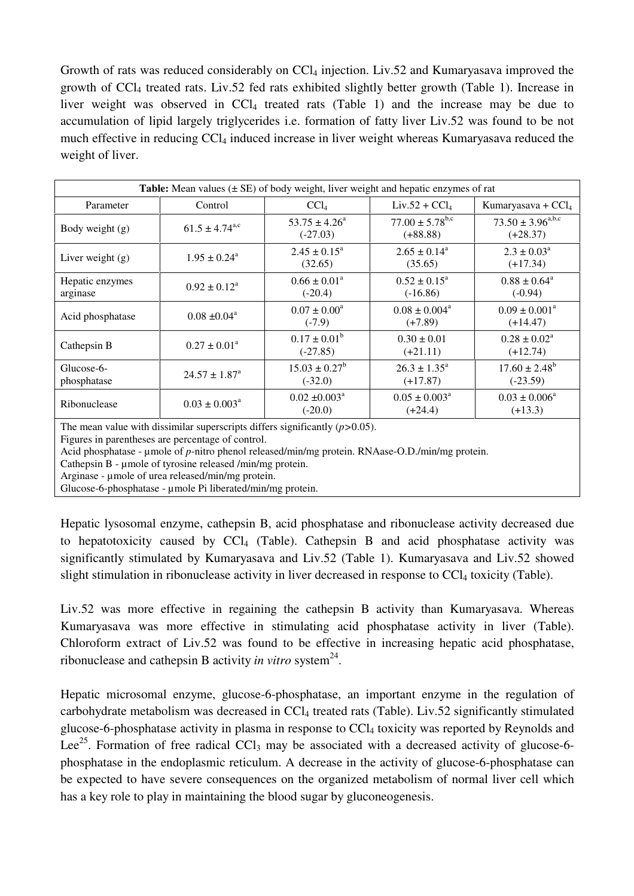Growth of rats was reduced considerably on  $CCl<sub>4</sub>$  injection. Liv.52 and Kumaryasava improved the growth of CCl<sup>4</sup> treated rats. Liv.52 fed rats exhibited slightly better growth (Table 1). Increase in liver weight was observed in  $CCl<sub>4</sub>$  treated rats (Table 1) and the increase may be due to accumulation of lipid largely triglycerides i.e. formation of fatty liver Liv.52 was found to be not much effective in reducing CCl<sub>4</sub> induced increase in liver weight whereas Kumaryasava reduced the weight of liver.

| <b>Table:</b> Mean values $(\pm \text{ SE})$ of body weight, liver weight and hepatic enzymes of rat |                              |                                            |                                             |                                               |
|------------------------------------------------------------------------------------------------------|------------------------------|--------------------------------------------|---------------------------------------------|-----------------------------------------------|
| Parameter                                                                                            | Control                      | CCl <sub>4</sub>                           | $Liv.52 + CCl4$                             | Kumaryasava + $CCl4$                          |
| Body weight (g)                                                                                      | $61.5 \pm 4.74^{\text{a,c}}$ | $53.75 \pm 4.26^{\circ}$<br>$(-27.03)$     | $77.00 \pm 5.78^{\text{b,c}}$<br>$(+88.88)$ | $73.50 \pm 3.96^{\text{a,b,c}}$<br>$(+28.37)$ |
| Liver weight $(g)$                                                                                   | $1.95 \pm 0.24^{\text{a}}$   | $2.45 \pm 0.15^{\circ}$<br>(32.65)         | $2.65 \pm 0.14^{\text{a}}$<br>(35.65)       | $2.3 \pm 0.03^{\circ}$<br>$(+17.34)$          |
| Hepatic enzymes<br>arginase                                                                          | $0.92 \pm 0.12^a$            | $0.66 \pm 0.01^{\circ}$<br>$(-20.4)$       | $0.52 \pm 0.15^{\circ}$<br>$(-16.86)$       | $0.88 \pm 0.64^{\circ}$<br>$(-0.94)$          |
| Acid phosphatase                                                                                     | $0.08 \pm 0.04^a$            | $0.07 \pm 0.00^a$<br>$(-7.9)$              | $0.08 \pm 0.004^a$<br>$(+7.89)$             | $0.09 \pm 0.001^a$<br>$(+14.47)$              |
| Cathepsin B                                                                                          | $0.27 \pm 0.01^{\circ}$      | $0.17 \pm 0.01^b$<br>$(-27.85)$            | $0.30 \pm 0.01$<br>$(+21.11)$               | $0.28 \pm 0.02^a$<br>$(+12.74)$               |
| Glucose-6-<br>phosphatase                                                                            | $24.57 \pm 1.87^{\circ}$     | $15.03 \pm 0.27^b$<br>$(-32.0)$            | $26.3 \pm 1.35^{\circ}$<br>$(+17.87)$       | $17.60 \pm 2.48^b$<br>$(-23.59)$              |
| Ribonuclease                                                                                         | $0.03 \pm 0.003^{\text{a}}$  | $0.02 \pm 0.003$ <sup>a</sup><br>$(-20.0)$ | $0.05 \pm 0.003^{\circ}$<br>$(+24.4)$       | $0.03 \pm 0.006^a$<br>$(+13.3)$               |

The mean value with dissimilar superscripts differs significantly (*p>*0.05).

Figures in parentheses are percentage of control.

Acid phosphatase - µmole of *p*-nitro phenol released/min/mg protein. RNAase-O.D./min/mg protein.

Cathepsin B - µmole of tyrosine released /min/mg protein.

Arginase - umole of urea released/min/mg protein.

Glucose-6-phosphatase - umole Pi liberated/min/mg protein.

Hepatic lysosomal enzyme, cathepsin B, acid phosphatase and ribonuclease activity decreased due to hepatotoxicity caused by  $CCl<sub>4</sub>$  (Table). Cathepsin B and acid phosphatase activity was significantly stimulated by Kumaryasava and Liv.52 (Table 1). Kumaryasava and Liv.52 showed slight stimulation in ribonuclease activity in liver decreased in response to CCl<sub>4</sub> toxicity (Table).

Liv.52 was more effective in regaining the cathepsin B activity than Kumaryasava. Whereas Kumaryasava was more effective in stimulating acid phosphatase activity in liver (Table). Chloroform extract of Liv.52 was found to be effective in increasing hepatic acid phosphatase, ribonuclease and cathepsin B activity *in vitro* system 24 .

Hepatic microsomal enzyme, glucose-6-phosphatase, an important enzyme in the regulation of carbohydrate metabolism was decreased in CCl<sub>4</sub> treated rats (Table). Liv.52 significantly stimulated glucose-6-phosphatase activity in plasma in response to CCl<sup>4</sup> toxicity was reported by Reynolds and Lee<sup>25</sup>. Formation of free radical CCl<sub>3</sub> may be associated with a decreased activity of glucose-6phosphatase in the endoplasmic reticulum. A decrease in the activity of glucose-6-phosphatase can be expected to have severe consequences on the organized metabolism of normal liver cell which has a key role to play in maintaining the blood sugar by gluconeogenesis.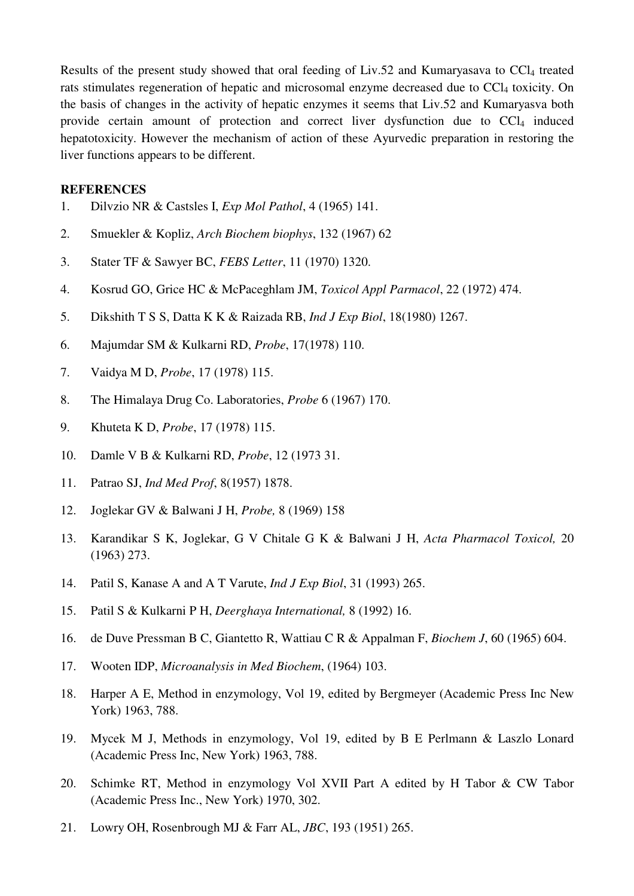Results of the present study showed that oral feeding of Liv.52 and Kumaryasava to CCl<sub>4</sub> treated rats stimulates regeneration of hepatic and microsomal enzyme decreased due to CCl<sub>4</sub> toxicity. On the basis of changes in the activity of hepatic enzymes it seems that Liv.52 and Kumaryasva both provide certain amount of protection and correct liver dysfunction due to  $CCl<sub>4</sub>$  induced hepatotoxicity. However the mechanism of action of these Ayurvedic preparation in restoring the liver functions appears to be different.

## **REFERENCES**

- 1. Dilvzio NR & Castsles I, *Exp Mol Pathol*, 4 (1965) 141.
- 2. Smuekler & Kopliz, *Arch Biochem biophys*, 132 (1967) 62
- 3. Stater TF & Sawyer BC, *FEBS Letter*, 11 (1970) 1320.
- 4. Kosrud GO, Grice HC & McPaceghlam JM, *Toxicol Appl Parmacol*, 22 (1972) 474.
- 5. Dikshith T S S, Datta K K & Raizada RB, *Ind J Exp Biol*, 18(1980) 1267.
- 6. Majumdar SM & Kulkarni RD, *Probe*, 17(1978) 110.
- 7. Vaidya M D, *Probe*, 17 (1978) 115.
- 8. The Himalaya Drug Co. Laboratories, *Probe* 6 (1967) 170.
- 9. Khuteta K D, *Probe*, 17 (1978) 115.
- 10. Damle V B & Kulkarni RD, *Probe*, 12 (1973 31.
- 11. Patrao SJ, *Ind Med Prof*, 8(1957) 1878.
- 12. Joglekar GV & Balwani J H, *Probe,* 8 (1969) 158
- 13. Karandikar S K, Joglekar, G V Chitale G K & Balwani J H, *Acta Pharmacol Toxicol,* 20 (1963) 273.
- 14. Patil S, Kanase A and A T Varute, *Ind J Exp Biol*, 31 (1993) 265.
- 15. Patil S & Kulkarni P H, *Deerghaya International,* 8 (1992) 16.
- 16. de Duve Pressman B C, Giantetto R, Wattiau C R & Appalman F, *Biochem J*, 60 (1965) 604.
- 17. Wooten IDP, *Microanalysis in Med Biochem*, (1964) 103.
- 18. Harper A E, Method in enzymology, Vol 19, edited by Bergmeyer (Academic Press Inc New York) 1963, 788.
- 19. Mycek M J, Methods in enzymology, Vol 19, edited by B E Perlmann & Laszlo Lonard (Academic Press Inc, New York) 1963, 788.
- 20. Schimke RT, Method in enzymology Vol XVII Part A edited by H Tabor & CW Tabor (Academic Press Inc., New York) 1970, 302.
- 21. Lowry OH, Rosenbrough MJ & Farr AL, *JBC*, 193 (1951) 265.